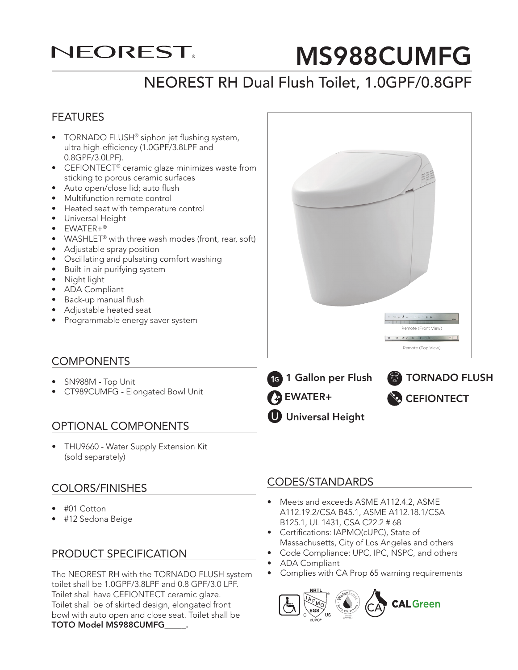## **NEOREST**

# MS988CUMFG

## NEOREST RH Dual Flush Toilet, 1.0GPF/0.8GPF

#### FEATURES

- TORNADO FLUSH® siphon jet flushing system, ultra high-efficiency (1.0GPF/3.8LPF and 0.8GPF/3.0LPF).
- CEFIONTECT® ceramic glaze minimizes waste from sticking to porous ceramic surfaces
- Auto open/close lid; auto flush
- Multifunction remote control
- Heated seat with temperature control
- Universal Height
- EWATER+®
- WASHLET<sup>®</sup> with three wash modes (front, rear, soft)
- Adjustable spray position
- Oscillating and pulsating comfort washing
- Built-in air purifying system
- Night light
- ADA Compliant
- Back-up manual flush
- Adjustable heated seat
- Programmable energy saver system

#### **COMPONENTS**

- SN988M Top Unit
- CT989CUMFG Elongated Bowl Unit

#### OPTIONAL COMPONENTS

• THU9660 - Water Supply Extension Kit (sold separately)

#### COLORS/FINISHES

- #01 Cotton
- #12 Sedona Beige

#### PRODUCT SPECIFICATION

The NEOREST RH with the TORNADO FLUSH system toilet shall be 1.0GPF/3.8LPF and 0.8 GPF/3.0 LPF. Toilet shall have CEFIONTECT ceramic glaze. Toilet shall be of skirted design, elongated front bowl with auto open and close seat. Toilet shall be TOTO Model MS988CUMFG\_\_\_\_\_.

#### CODES/STANDARDS

- Meets and exceeds ASME A112.4.2, ASME A112.19.2/CSA B45.1, ASME A112.18.1/CSA B125.1, UL 1431, CSA C22.2 # 68
- Certifications: IAPMO(cUPC), State of Massachusetts, City of Los Angeles and others
- Code Compliance: UPC, IPC, NSPC, and others
- ADA Compliant
- Complies with CA Prop 65 warning requirements



- ONE GALLON Remote (Front View) Remote (Top View)
- EWATER+
- **U** Universal Height
-